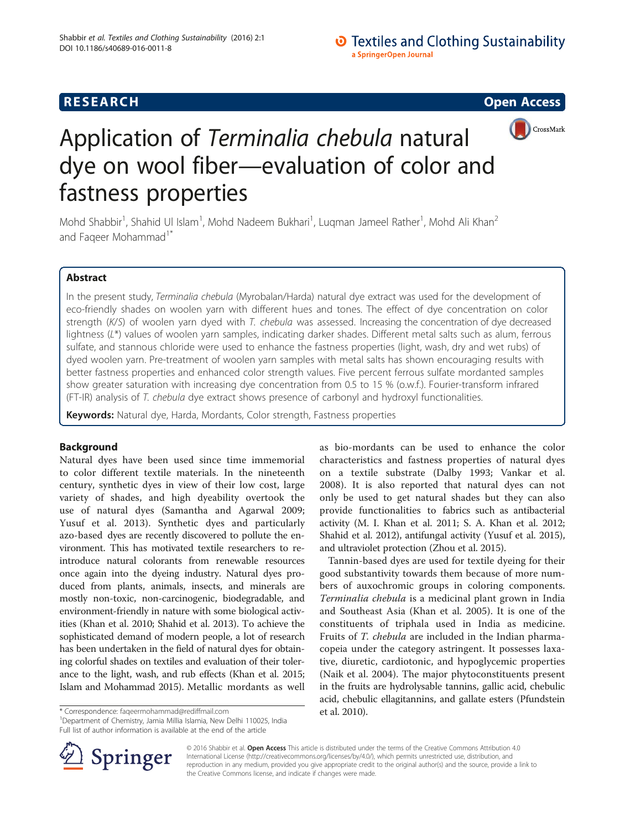# **O** Textiles and Clothing Sustainability a SpringerOpen Journal





# Application of Terminalia chebula natural dye on wool fiber—evaluation of color and fastness properties

Mohd Shabbir<sup>1</sup>, Shahid Ul Islam<sup>1</sup>, Mohd Nadeem Bukhari<sup>1</sup>, Luqman Jameel Rather<sup>1</sup>, Mohd Ali Khan<sup>2</sup> and Fageer Mohammad<sup>1\*</sup>

# Abstract

In the present study, Terminalia chebula (Myrobalan/Harda) natural dye extract was used for the development of eco-friendly shades on woolen yarn with different hues and tones. The effect of dye concentration on color strength (K/S) of woolen yarn dyed with T. chebula was assessed. Increasing the concentration of dye decreased lightness (L\*) values of woolen yarn samples, indicating darker shades. Different metal salts such as alum, ferrous sulfate, and stannous chloride were used to enhance the fastness properties (light, wash, dry and wet rubs) of dyed woolen yarn. Pre-treatment of woolen yarn samples with metal salts has shown encouraging results with better fastness properties and enhanced color strength values. Five percent ferrous sulfate mordanted samples show greater saturation with increasing dye concentration from 0.5 to 15 % (o.w.f.). Fourier-transform infrared (FT-IR) analysis of T. chebula dye extract shows presence of carbonyl and hydroxyl functionalities.

Keywords: Natural dye, Harda, Mordants, Color strength, Fastness properties

# Background

Natural dyes have been used since time immemorial to color different textile materials. In the nineteenth century, synthetic dyes in view of their low cost, large variety of shades, and high dyeability overtook the use of natural dyes (Samantha and Agarwal [2009](#page--1-0); Yusuf et al. [2013](#page--1-0)). Synthetic dyes and particularly azo-based dyes are recently discovered to pollute the environment. This has motivated textile researchers to reintroduce natural colorants from renewable resources once again into the dyeing industry. Natural dyes produced from plants, animals, insects, and minerals are mostly non-toxic, non-carcinogenic, biodegradable, and environment-friendly in nature with some biological activities (Khan et al. [2010](#page--1-0); Shahid et al. [2013](#page--1-0)). To achieve the sophisticated demand of modern people, a lot of research has been undertaken in the field of natural dyes for obtaining colorful shades on textiles and evaluation of their tolerance to the light, wash, and rub effects (Khan et al. [2015](#page--1-0); Islam and Mohammad [2015](#page--1-0)). Metallic mordants as well

<sup>1</sup>Department of Chemistry, Jamia Millia Islamia, New Delhi 110025, India Full list of author information is available at the end of the article

as bio-mordants can be used to enhance the color characteristics and fastness properties of natural dyes on a textile substrate (Dalby [1993;](#page--1-0) Vankar et al. [2008\)](#page--1-0). It is also reported that natural dyes can not only be used to get natural shades but they can also provide functionalities to fabrics such as antibacterial activity (M. I. Khan et al. [2011;](#page--1-0) S. A. Khan et al. [2012](#page--1-0); Shahid et al. [2012\)](#page--1-0), antifungal activity (Yusuf et al. [2015](#page--1-0)), and ultraviolet protection (Zhou et al. [2015](#page--1-0)).

Tannin-based dyes are used for textile dyeing for their good substantivity towards them because of more numbers of auxochromic groups in coloring components. Terminalia chebula is a medicinal plant grown in India and Southeast Asia (Khan et al. [2005](#page--1-0)). It is one of the constituents of triphala used in India as medicine. Fruits of T. chebula are included in the Indian pharmacopeia under the category astringent. It possesses laxative, diuretic, cardiotonic, and hypoglycemic properties (Naik et al. [2004](#page--1-0)). The major phytoconstituents present in the fruits are hydrolysable tannins, gallic acid, chebulic acid, chebulic ellagitannins, and gallate esters (Pfundstein



© 2016 Shabbir et al. Open Access This article is distributed under the terms of the Creative Commons Attribution 4.0 International License ([http://creativecommons.org/licenses/by/4.0/\)](http://creativecommons.org/licenses/by/4.0/), which permits unrestricted use, distribution, and reproduction in any medium, provided you give appropriate credit to the original author(s) and the source, provide a link to the Creative Commons license, and indicate if changes were made.

<sup>\*</sup> Correspondence: [faqeermohammad@rediffmail.com](mailto:faqeermohammad@rediffmail.com) **1998** et al. [2010](#page--1-0)).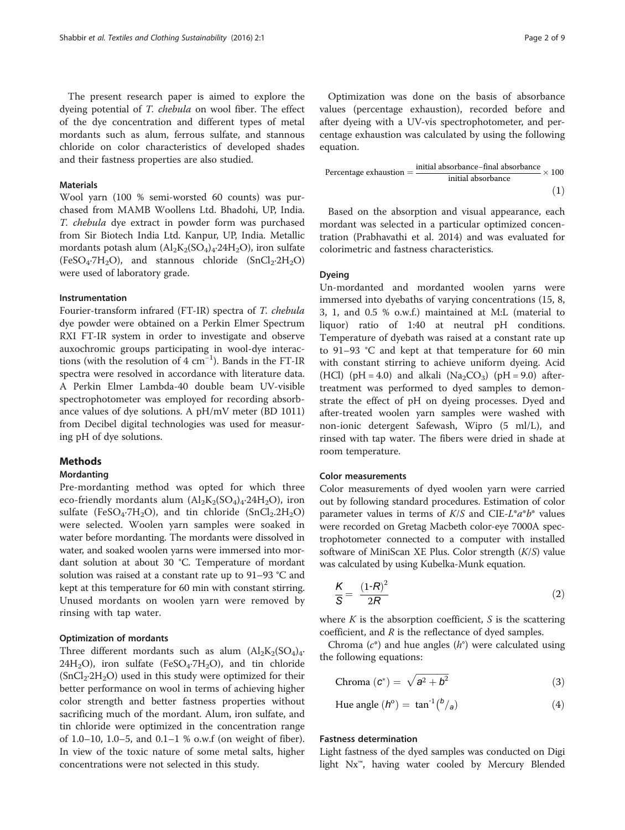#### Materials

Wool yarn (100 % semi-worsted 60 counts) was purchased from MAMB Woollens Ltd. Bhadohi, UP, India. T. chebula dye extract in powder form was purchased from Sir Biotech India Ltd. Kanpur, UP, India. Metallic mordants potash alum  $\left( \text{Al}_2 \text{K}_2 \left( \text{SO}_4 \right)_4$ . 24H<sub>2</sub>O), iron sulfate  $(FeSO_4·7H_2O)$ , and stannous chloride  $(SnCl_2·2H_2O)$ were used of laboratory grade.

#### Instrumentation

Fourier-transform infrared (FT-IR) spectra of T. chebula dye powder were obtained on a Perkin Elmer Spectrum RXI FT-IR system in order to investigate and observe auxochromic groups participating in wool-dye interactions (with the resolution of 4 cm−<sup>1</sup> ). Bands in the FT-IR spectra were resolved in accordance with literature data. A Perkin Elmer Lambda-40 double beam UV-visible spectrophotometer was employed for recording absorbance values of dye solutions. A pH/mV meter (BD 1011) from Decibel digital technologies was used for measuring pH of dye solutions.

#### Methods

#### Mordanting

Pre-mordanting method was opted for which three eco-friendly mordants alum  $(Al_2K_2(SO_4)_4.24H_2O)$ , iron sulfate (FeSO<sub>4</sub>·7H<sub>2</sub>O), and tin chloride (SnCl<sub>2</sub>.2H<sub>2</sub>O) were selected. Woolen yarn samples were soaked in water before mordanting. The mordants were dissolved in water, and soaked woolen yarns were immersed into mordant solution at about 30 °C. Temperature of mordant solution was raised at a constant rate up to 91–93 °C and kept at this temperature for 60 min with constant stirring. Unused mordants on woolen yarn were removed by rinsing with tap water.

# Optimization of mordants

Three different mordants such as alum  $(Al_2K_2(SO_4)_4$ . 24H<sub>2</sub>O), iron sulfate (FeSO<sub>4</sub>·7H<sub>2</sub>O), and tin chloride  $(SnCl<sub>2</sub>·2H<sub>2</sub>O)$  used in this study were optimized for their better performance on wool in terms of achieving higher color strength and better fastness properties without sacrificing much of the mordant. Alum, iron sulfate, and tin chloride were optimized in the concentration range of 1.0–10, 1.0–5, and 0.1–1 % o.w.f (on weight of fiber). In view of the toxic nature of some metal salts, higher concentrations were not selected in this study.

Optimization was done on the basis of absorbance values (percentage exhaustion), recorded before and after dyeing with a UV-vis spectrophotometer, and percentage exhaustion was calculated by using the following equation.

Percentage exhaustion = 
$$
\frac{\text{initial absorbance-final absorbance}}{\text{initial absorbance}} \times 100
$$
\n(1)

Based on the absorption and visual appearance, each mordant was selected in a particular optimized concentration (Prabhavathi et al. [2014\)](#page--1-0) and was evaluated for colorimetric and fastness characteristics.

# Dyeing

Un-mordanted and mordanted woolen yarns were immersed into dyebaths of varying concentrations (15, 8, 3, 1, and 0.5 % o.w.f.) maintained at M:L (material to liquor) ratio of 1:40 at neutral pH conditions. Temperature of dyebath was raised at a constant rate up to 91–93 °C and kept at that temperature for 60 min with constant stirring to achieve uniform dyeing. Acid (HCl) (pH = 4.0) and alkali (Na<sub>2</sub>CO<sub>3</sub>) (pH = 9.0) aftertreatment was performed to dyed samples to demonstrate the effect of pH on dyeing processes. Dyed and after-treated woolen yarn samples were washed with non-ionic detergent Safewash, Wipro (5 ml/L), and rinsed with tap water. The fibers were dried in shade at room temperature.

# Color measurements

Color measurements of dyed woolen yarn were carried out by following standard procedures. Estimation of color parameter values in terms of  $K/S$  and CIE- $L^*a^*b^*$  values were recorded on Gretag Macbeth color-eye 7000A spectrophotometer connected to a computer with installed software of MiniScan XE Plus. Color strength  $(K/S)$  value was calculated by using Kubelka-Munk equation.

$$
\frac{K}{S} = \frac{(1-R)^2}{2R} \tag{2}
$$

where  $K$  is the absorption coefficient,  $S$  is the scattering coefficient, and  $R$  is the reflectance of dyed samples.

Chroma  $(c^*)$  and hue angles  $(h^{\circ})$  were calculated using the following equations:

Chroma 
$$
(c^*) = \sqrt{a^2 + b^2}
$$
 (3)

Hue angle 
$$
(h^{\circ}) = \tan^{-1} {b \choose a}
$$
 (4)

#### Fastness determination

Light fastness of the dyed samples was conducted on Digi light Nx™, having water cooled by Mercury Blended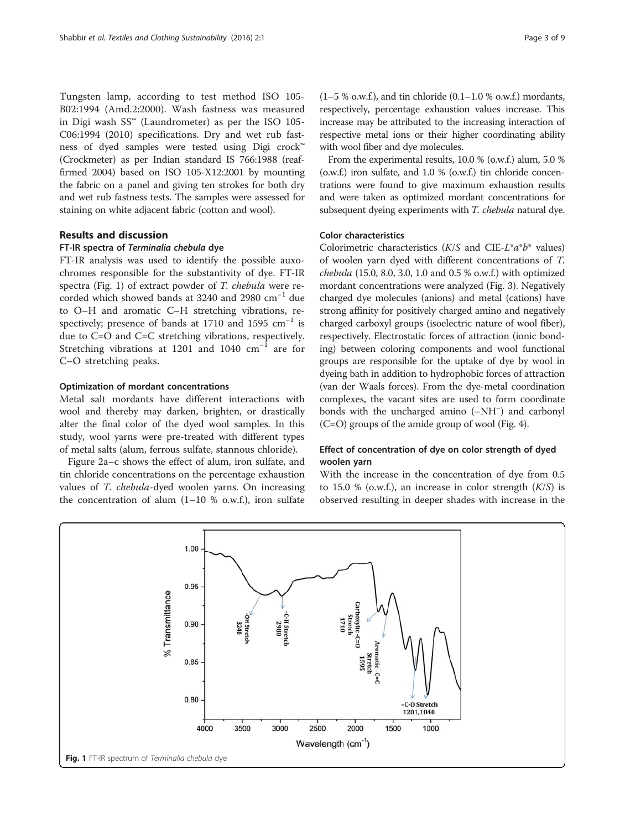Tungsten lamp, according to test method ISO 105- B02:1994 (Amd.2:2000). Wash fastness was measured in Digi wash  $SS^{\omega}$  (Laundrometer) as per the ISO 105-C06:1994 (2010) specifications. Dry and wet rub fastness of dyed samples were tested using Digi crock™ (Crockmeter) as per Indian standard IS 766:1988 (reaffirmed 2004) based on ISO 105-X12:2001 by mounting the fabric on a panel and giving ten strokes for both dry and wet rub fastness tests. The samples were assessed for staining on white adjacent fabric (cotton and wool).

#### Results and discussion

## FT-IR spectra of Terminalia chebula dye

FT-IR analysis was used to identify the possible auxochromes responsible for the substantivity of dye. FT-IR spectra (Fig. 1) of extract powder of T. chebula were recorded which showed bands at 3240 and 2980 cm−<sup>1</sup> due to O–H and aromatic C–H stretching vibrations, respectively; presence of bands at 1710 and 1595  $cm^{-1}$  is due to C=O and C=C stretching vibrations, respectively. Stretching vibrations at 1201 and 1040 cm−<sup>1</sup> are for C–O stretching peaks.

#### Optimization of mordant concentrations

Metal salt mordants have different interactions with wool and thereby may darken, brighten, or drastically alter the final color of the dyed wool samples. In this study, wool yarns were pre-treated with different types of metal salts (alum, ferrous sulfate, stannous chloride).

Figure [2a](#page-3-0)–c shows the effect of alum, iron sulfate, and tin chloride concentrations on the percentage exhaustion values of T. chebula-dyed woolen yarns. On increasing the concentration of alum  $(1-10 %$  o.w.f.), iron sulfate  $(1-5 %$  o.w.f.), and tin chloride  $(0.1-1.0 %$  o.w.f.) mordants, respectively, percentage exhaustion values increase. This increase may be attributed to the increasing interaction of respective metal ions or their higher coordinating ability with wool fiber and dye molecules.

From the experimental results, 10.0 % (o.w.f.) alum, 5.0 % (o.w.f.) iron sulfate, and 1.0 % (o.w.f.) tin chloride concentrations were found to give maximum exhaustion results and were taken as optimized mordant concentrations for subsequent dyeing experiments with T. chebula natural dye.

## Color characteristics

Colorimetric characteristics  $(K/S$  and CIE-L<sup>\*</sup>a<sup>\*</sup>b<sup>\*</sup> values) of woolen yarn dyed with different concentrations of T. chebula (15.0, 8.0, 3.0, 1.0 and 0.5 % o.w.f.) with optimized mordant concentrations were analyzed (Fig. [3\)](#page-3-0). Negatively charged dye molecules (anions) and metal (cations) have strong affinity for positively charged amino and negatively charged carboxyl groups (isoelectric nature of wool fiber), respectively. Electrostatic forces of attraction (ionic bonding) between coloring components and wool functional groups are responsible for the uptake of dye by wool in dyeing bath in addition to hydrophobic forces of attraction (van der Waals forces). From the dye-metal coordination complexes, the vacant sites are used to form coordinate bonds with the uncharged amino (–NH<sup>−</sup> ) and carbonyl (C=O) groups of the amide group of wool (Fig. [4](#page-3-0)).

# Effect of concentration of dye on color strength of dyed woolen yarn

With the increase in the concentration of dye from 0.5 to 15.0 % (o.w.f.), an increase in color strength  $(K/S)$  is observed resulting in deeper shades with increase in the

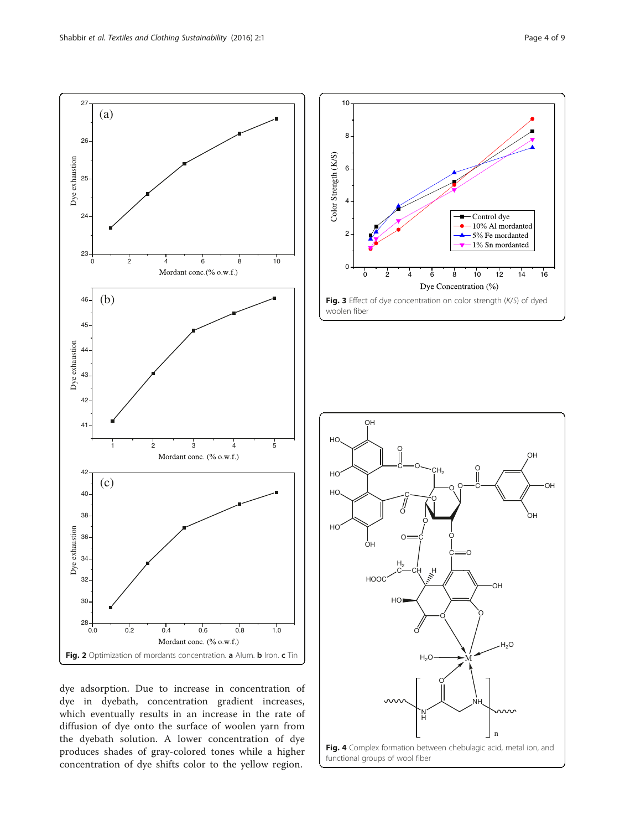<span id="page-3-0"></span>

dye adsorption. Due to increase in concentration of dye in dyebath, concentration gradient increases, which eventually results in an increase in the rate of diffusion of dye onto the surface of woolen yarn from the dyebath solution. A lower concentration of dye produces shades of gray-colored tones while a higher concentration of dye shifts color to the yellow region.



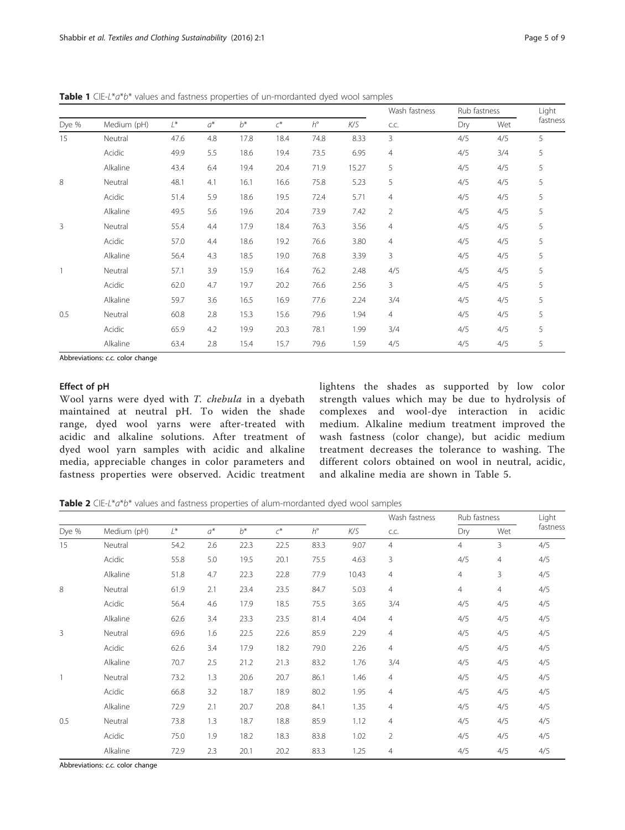<span id="page-4-0"></span>Table 1 CIE-L\*a\*b\* values and fastness properties of un-mordanted dyed wool samples

|       | Medium (pH) | L*   | $a^*$ | $h^*$ | $\mathcal{C}^*$ | $h^{\circ}$ | K/S   | Wash fastness<br>C.C. | Rub fastness |     | Light    |
|-------|-------------|------|-------|-------|-----------------|-------------|-------|-----------------------|--------------|-----|----------|
| Dye % |             |      |       |       |                 |             |       |                       | Dry          | Wet | fastness |
| 15    | Neutral     | 47.6 | 4.8   | 17.8  | 18.4            | 74.8        | 8.33  | 3                     | 4/5          | 4/5 | 5        |
|       | Acidic      | 49.9 | 5.5   | 18.6  | 19.4            | 73.5        | 6.95  | $\overline{4}$        | 4/5          | 3/4 | 5        |
|       | Alkaline    | 43.4 | 6.4   | 19.4  | 20.4            | 71.9        | 15.27 | 5                     | 4/5          | 4/5 | 5        |
| 8     | Neutral     | 48.1 | 4.1   | 16.1  | 16.6            | 75.8        | 5.23  | 5                     | 4/5          | 4/5 | 5        |
|       | Acidic      | 51.4 | 5.9   | 18.6  | 19.5            | 72.4        | 5.71  | $\overline{4}$        | 4/5          | 4/5 | 5        |
|       | Alkaline    | 49.5 | 5.6   | 19.6  | 20.4            | 73.9        | 7.42  | $\overline{2}$        | 4/5          | 4/5 | 5        |
| 3     | Neutral     | 55.4 | 4.4   | 17.9  | 18.4            | 76.3        | 3.56  | $\overline{4}$        | 4/5          | 4/5 | 5        |
|       | Acidic      | 57.0 | 4.4   | 18.6  | 19.2            | 76.6        | 3.80  | 4                     | 4/5          | 4/5 | 5        |
|       | Alkaline    | 56.4 | 4.3   | 18.5  | 19.0            | 76.8        | 3.39  | 3                     | 4/5          | 4/5 | 5        |
|       | Neutral     | 57.1 | 3.9   | 15.9  | 16.4            | 76.2        | 2.48  | 4/5                   | 4/5          | 4/5 | 5        |
|       | Acidic      | 62.0 | 4.7   | 19.7  | 20.2            | 76.6        | 2.56  | 3                     | 4/5          | 4/5 | 5        |
|       | Alkaline    | 59.7 | 3.6   | 16.5  | 16.9            | 77.6        | 2.24  | 3/4                   | 4/5          | 4/5 | 5        |
| 0.5   | Neutral     | 60.8 | 2.8   | 15.3  | 15.6            | 79.6        | 1.94  | 4                     | 4/5          | 4/5 | 5        |
|       | Acidic      | 65.9 | 4.2   | 19.9  | 20.3            | 78.1        | 1.99  | 3/4                   | 4/5          | 4/5 | 5        |
|       | Alkaline    | 63.4 | 2.8   | 15.4  | 15.7            | 79.6        | 1.59  | 4/5                   | 4/5          | 4/5 | 5        |

Abbreviations: c.c. color change

# Effect of pH

Wool yarns were dyed with T. chebula in a dyebath maintained at neutral pH. To widen the shade range, dyed wool yarns were after-treated with acidic and alkaline solutions. After treatment of dyed wool yarn samples with acidic and alkaline media, appreciable changes in color parameters and fastness properties were observed. Acidic treatment

lightens the shades as supported by low color strength values which may be due to hydrolysis of complexes and wool-dye interaction in acidic medium. Alkaline medium treatment improved the wash fastness (color change), but acidic medium treatment decreases the tolerance to washing. The different colors obtained on wool in neutral, acidic, and alkaline media are shown in Table [5](#page-7-0).

Table 2 CIE-L\*a\*b\* values and fastness properties of alum-mordanted dyed wool samples

|       |             |       |       |       |       |             |       | Wash fastness<br>C.C. | Rub fastness   |                | Light    |
|-------|-------------|-------|-------|-------|-------|-------------|-------|-----------------------|----------------|----------------|----------|
| Dye % | Medium (pH) | $L^*$ | $a^*$ | $b^*$ | $C^*$ | $h^{\circ}$ | K/S   |                       | Dry            | Wet            | fastness |
| 15    | Neutral     | 54.2  | 2.6   | 22.3  | 22.5  | 83.3        | 9.07  | $\overline{4}$        | $\overline{4}$ | 3              | 4/5      |
|       | Acidic      | 55.8  | 5.0   | 19.5  | 20.1  | 75.5        | 4.63  | 3                     | 4/5            | $\overline{4}$ | 4/5      |
|       | Alkaline    | 51.8  | 4.7   | 22.3  | 22.8  | 77.9        | 10.43 | 4                     | 4              | 3              | 4/5      |
| 8     | Neutral     | 61.9  | 2.1   | 23.4  | 23.5  | 84.7        | 5.03  | 4                     | $\overline{4}$ | 4              | 4/5      |
|       | Acidic      | 56.4  | 4.6   | 17.9  | 18.5  | 75.5        | 3.65  | 3/4                   | 4/5            | 4/5            | 4/5      |
|       | Alkaline    | 62.6  | 3.4   | 23.3  | 23.5  | 81.4        | 4.04  | $\overline{4}$        | 4/5            | 4/5            | 4/5      |
| 3     | Neutral     | 69.6  | 1.6   | 22.5  | 22.6  | 85.9        | 2.29  | $\overline{4}$        | 4/5            | 4/5            | 4/5      |
|       | Acidic      | 62.6  | 3.4   | 17.9  | 18.2  | 79.0        | 2.26  | 4                     | 4/5            | 4/5            | 4/5      |
|       | Alkaline    | 70.7  | 2.5   | 21.2  | 21.3  | 83.2        | 1.76  | 3/4                   | 4/5            | 4/5            | 4/5      |
|       | Neutral     | 73.2  | 1.3   | 20.6  | 20.7  | 86.1        | 1.46  | $\overline{4}$        | 4/5            | 4/5            | 4/5      |
|       | Acidic      | 66.8  | 3.2   | 18.7  | 18.9  | 80.2        | 1.95  | $\overline{4}$        | 4/5            | 4/5            | 4/5      |
|       | Alkaline    | 72.9  | 2.1   | 20.7  | 20.8  | 84.1        | 1.35  | $\overline{4}$        | 4/5            | 4/5            | 4/5      |
| 0.5   | Neutral     | 73.8  | 1.3   | 18.7  | 18.8  | 85.9        | 1.12  | $\overline{4}$        | 4/5            | 4/5            | 4/5      |
|       | Acidic      | 75.0  | 1.9   | 18.2  | 18.3  | 83.8        | 1.02  | $\overline{2}$        | 4/5            | 4/5            | 4/5      |
|       | Alkaline    | 72.9  | 2.3   | 20.1  | 20.2  | 83.3        | 1.25  | $\overline{4}$        | 4/5            | 4/5            | 4/5      |

Abbreviations: c.c. color change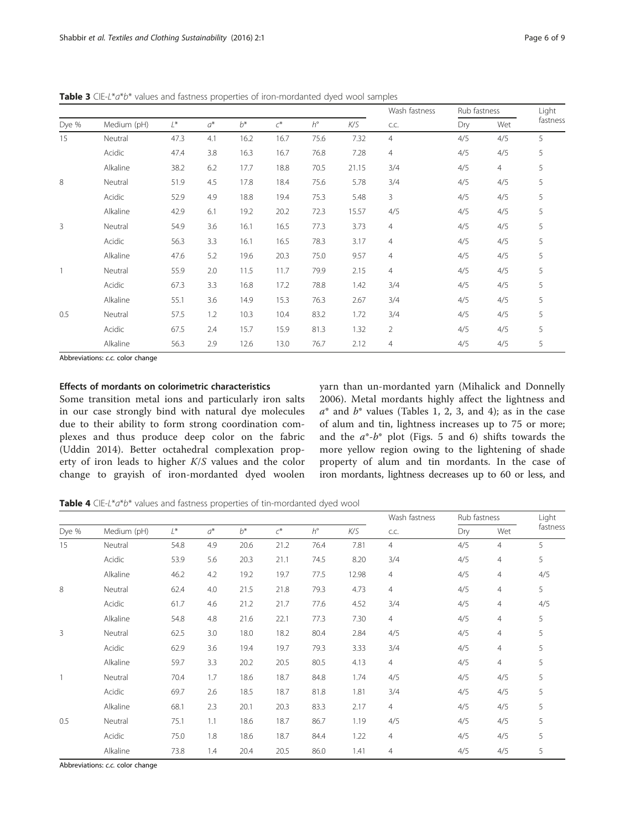Wash fastness  $\frac{\text{Rub} \text{ fastness}}{\text{Dar} \text{ M/stat}}$  Light fastness Dye % Medium (pH)  $L^*$   $a^*$   $b^*$   $c^*$   $h^{\circ}$   $K/S$  c.c.  $\overline{Ory}$  Wet fastness 15 Neutral 47.3 4.1 16.2 16.7 75.6 7.32 4 4/5 4/5 5 Acidic 47.4 3.8 16.3 16.7 76.8 7.28 4 4/5 4/5 5 Alkaline 38.2 6.2 17.7 18.8 70.5 21.15 3/4 4/5 4 5 8 Neutral 51.9 4.5 17.8 18.4 75.6 5.78 3/4 - 4/5 4/5 5 Acidic 52.9 4.9 18.8 19.4 75.3 5.48 3 4/5 4/5 5 Alkaline 42.9 6.1 19.2 20.2 72.3 15.57 4/5 4/5 4/5 5 3 Neutral 54.9 3.6 16.1 16.5 77.3 3.73 4 4/5 4/5 5 Acidic 56.3 3.3 16.1 16.5 78.3 3.17 4 4/5 4/5 5 Alkaline 47.6 5.2 19.6 20.3 75.0 9.57 4 4/5 4/5 5 1 Neutral 55.9 2.0 11.5 11.7 79.9 2.15 4 4/5 4/5 5 Acidic 67.3 3.3 16.8 17.2 78.8 1.42 3/4 4/5 4/5 5 Alkaline 55.1 3.6 14.9 15.3 76.3 2.67 3/4 4/5 4/5 5 0.5 Neutral 57.5 1.2 10.3 10.4 83.2 1.72 3/4 4/5 4/5 5 Acidic 67.5 2.4 15.7 15.9 81.3 1.32 2 4/5 4/5 5 Alkaline 56.3 2.9 12.6 13.0 76.7 2.12 4 34/5 4/5 5

<span id="page-5-0"></span>Table 3 CIE-L\*a\*b\* values and fastness properties of iron-mordanted dyed wool samples

Abbreviations: c.c. color change

# Effects of mordants on colorimetric characteristics

Some transition metal ions and particularly iron salts in our case strongly bind with natural dye molecules due to their ability to form strong coordination complexes and thus produce deep color on the fabric (Uddin [2014](#page--1-0)). Better octahedral complexation property of iron leads to higher K/S values and the color change to grayish of iron-mordanted dyed woolen yarn than un-mordanted yarn (Mihalick and Donnelly [2006\)](#page--1-0). Metal mordants highly affect the lightness and  $a^*$  and  $b^*$  values (Tables [1, 2,](#page-4-0) 3, and 4); as in the case of alum and tin, lightness increases up to 75 or more; and the  $a^*$ - $b^*$  plot (Figs. [5](#page-6-0) and [6\)](#page-6-0) shifts towards the more yellow region owing to the lightening of shade property of alum and tin mordants. In the case of iron mordants, lightness decreases up to 60 or less, and

Table 4 CIE-L\*a\*b\* values and fastness properties of tin-mordanted dyed wool

|                |             |      |       |       |                              |             |       | Wash fastness<br>C.C. | Rub fastness |                | Light    |
|----------------|-------------|------|-------|-------|------------------------------|-------------|-------|-----------------------|--------------|----------------|----------|
| Dye %          | Medium (pH) | L*   | $a^*$ | $b^*$ | $\boldsymbol{\mathcal{C}}^*$ | $h^{\circ}$ | K/S   |                       | Dry          | Wet            | fastness |
| 15             | Neutral     | 54.8 | 4.9   | 20.6  | 21.2                         | 76.4        | 7.81  | $\overline{4}$        | 4/5          | $\overline{4}$ | 5        |
|                | Acidic      | 53.9 | 5.6   | 20.3  | 21.1                         | 74.5        | 8.20  | 3/4                   | 4/5          | $\overline{4}$ | 5        |
|                | Alkaline    | 46.2 | 4.2   | 19.2  | 19.7                         | 77.5        | 12.98 | $\overline{4}$        | 4/5          | $\overline{4}$ | 4/5      |
| 8              | Neutral     | 62.4 | 4.0   | 21.5  | 21.8                         | 79.3        | 4.73  | $\overline{4}$        | 4/5          | $\overline{4}$ | 5        |
|                | Acidic      | 61.7 | 4.6   | 21.2  | 21.7                         | 77.6        | 4.52  | 3/4                   | 4/5          | $\overline{4}$ | 4/5      |
|                | Alkaline    | 54.8 | 4.8   | 21.6  | 22.1                         | 77.3        | 7.30  | $\overline{4}$        | 4/5          | $\overline{4}$ | 5        |
| $\overline{3}$ | Neutral     | 62.5 | 3.0   | 18.0  | 18.2                         | 80.4        | 2.84  | 4/5                   | 4/5          | $\overline{4}$ | 5        |
|                | Acidic      | 62.9 | 3.6   | 19.4  | 19.7                         | 79.3        | 3.33  | 3/4                   | 4/5          | $\overline{4}$ | 5        |
|                | Alkaline    | 59.7 | 3.3   | 20.2  | 20.5                         | 80.5        | 4.13  | $\overline{4}$        | 4/5          | $\overline{4}$ | 5        |
| $\overline{1}$ | Neutral     | 70.4 | 1.7   | 18.6  | 18.7                         | 84.8        | 1.74  | 4/5                   | 4/5          | 4/5            | 5        |
|                | Acidic      | 69.7 | 2.6   | 18.5  | 18.7                         | 81.8        | 1.81  | 3/4                   | 4/5          | 4/5            | 5        |
|                | Alkaline    | 68.1 | 2.3   | 20.1  | 20.3                         | 83.3        | 2.17  | $\overline{4}$        | 4/5          | 4/5            | 5        |
| 0.5            | Neutral     | 75.1 | 1.1   | 18.6  | 18.7                         | 86.7        | 1.19  | 4/5                   | 4/5          | 4/5            | 5        |
|                | Acidic      | 75.0 | 1.8   | 18.6  | 18.7                         | 84.4        | 1.22  | $\overline{4}$        | 4/5          | 4/5            | 5        |
|                | Alkaline    | 73.8 | 1.4   | 20.4  | 20.5                         | 86.0        | 1.41  | $\overline{4}$        | 4/5          | 4/5            | 5        |

Abbreviations: c.c. color change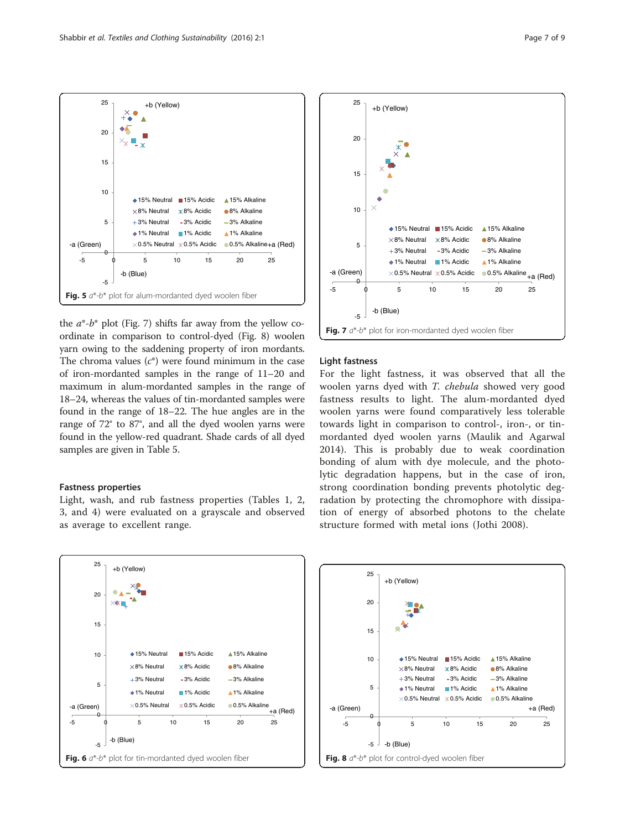the  $a^*$ - $b^*$  plot (Fig. 7) shifts far away from the yellow coordinate in comparison to control-dyed (Fig. 8) woolen yarn owing to the saddening property of iron mordants. The chroma values  $(c^*)$  were found minimum in the case of iron-mordanted samples in the range of 11–20 and maximum in alum-mordanted samples in the range of 18–24, whereas the values of tin-mordanted samples were found in the range of 18–22. The hue angles are in the range of 72° to 87°, and all the dyed woolen yarns were found in the yellow-red quadrant. Shade cards of all dyed samples are given in Table [5](#page-7-0).

-5 0 5 10 15 20 25

Fig. 5  $a^*$ -b\* plot for alum-mordanted dyed woolen fiber

-a (Green)  $\times 0.5\%$  Neutral  $\times 0.5\%$  Acidic

-b (Blue)

◆ 15% Neutral ■ 15% Acidic ▲ 15% Alkaline  $\times$ 8% Neutral  $\times$ 8% Acidic 8% Alkaline 3% Neutral 3% Acidic 3% Alkaline ▲1% Neutral ■1% Acidic ▲1% Alkaline

 $+$ a  $(8e)$  Alkaline+a  $(Bed)$ 

### Fastness properties

-5

 $\theta$ 

5

10

15

20

ا ہ

<span id="page-6-0"></span>25

Light, wash, and rub fastness properties (Tables [1](#page-4-0), [2](#page-4-0), [3,](#page-5-0) and [4\)](#page-5-0) were evaluated on a grayscale and observed as average to excellent range.







15

20

25

+b (Yellow)

fastness results to light. The alum-mordanted dyed woolen yarns were found comparatively less tolerable towards light in comparison to control-, iron-, or tinmordanted dyed woolen yarns (Maulik and Agarwal [2014\)](#page--1-0). This is probably due to weak coordination bonding of alum with dye molecule, and the photolytic degradation happens, but in the case of iron, strong coordination bonding prevents photolytic degradation by protecting the chromophore with dissipation of energy of absorbed photons to the chelate structure formed with metal ions (Jothi [2008\)](#page--1-0).



+b (Yellow)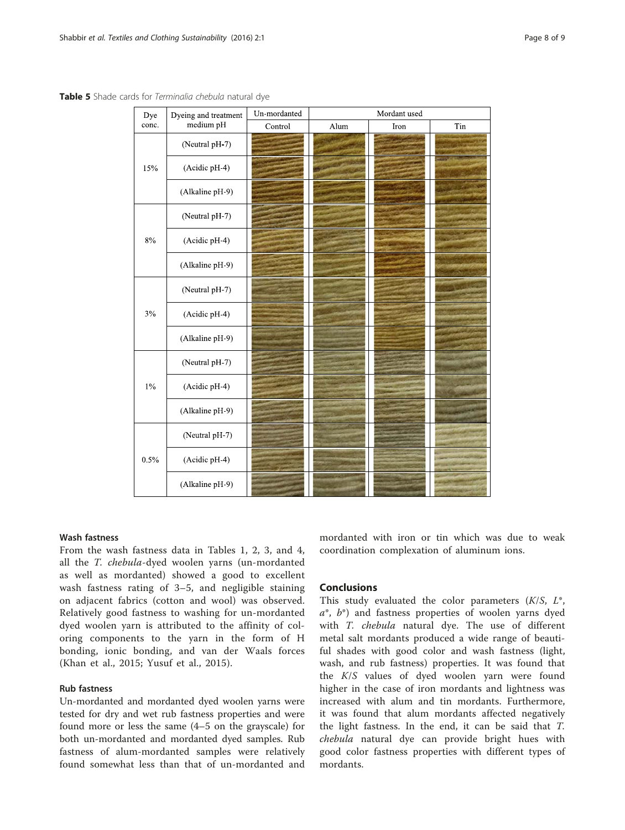| Dye   | Dyeing and treatment | Un-mordanted | Mordant used |      |     |  |  |  |  |  |
|-------|----------------------|--------------|--------------|------|-----|--|--|--|--|--|
| conc. | medium pH            | Control      | Alum         | Iron | Tin |  |  |  |  |  |
| 15%   | (Neutral pH-7)       |              |              |      |     |  |  |  |  |  |
|       | (Acidic pH-4)        |              |              |      |     |  |  |  |  |  |
|       | (Alkaline pH-9)      |              |              |      |     |  |  |  |  |  |
|       | (Neutral pH-7)       |              |              |      |     |  |  |  |  |  |
| $8\%$ | (Acidic pH-4)        |              |              |      |     |  |  |  |  |  |
|       | (Alkaline pH-9)      |              |              |      |     |  |  |  |  |  |
| $3\%$ | (Neutral pH-7)       |              |              |      |     |  |  |  |  |  |
|       | (Acidic pH-4)        |              |              |      |     |  |  |  |  |  |
|       | (Alkaline pH-9)      |              |              |      |     |  |  |  |  |  |
| $1\%$ | (Neutral pH-7)       |              |              |      |     |  |  |  |  |  |
|       | (Acidic pH-4)        |              |              |      |     |  |  |  |  |  |
|       | (Alkaline pH-9)      |              |              |      |     |  |  |  |  |  |
|       | (Neutral pH-7)       |              |              |      |     |  |  |  |  |  |
| 0.5%  | (Acidic pH-4)        |              |              |      |     |  |  |  |  |  |
|       | (Alkaline pH-9)      |              |              |      |     |  |  |  |  |  |

<span id="page-7-0"></span>Table 5 Shade cards for Terminalia chebula natural dye

# Wash fastness

From the wash fastness data in Tables [1, 2,](#page-4-0) [3](#page-5-0), and [4](#page-5-0), all the T. chebula-dyed woolen yarns (un-mordanted as well as mordanted) showed a good to excellent wash fastness rating of 3–5, and negligible staining on adjacent fabrics (cotton and wool) was observed. Relatively good fastness to washing for un-mordanted dyed woolen yarn is attributed to the affinity of coloring components to the yarn in the form of H bonding, ionic bonding, and van der Waals forces (Khan et al., [2015;](#page--1-0) Yusuf et al., [2015](#page--1-0)).

# Rub fastness

Un-mordanted and mordanted dyed woolen yarns were tested for dry and wet rub fastness properties and were found more or less the same (4–5 on the grayscale) for both un-mordanted and mordanted dyed samples. Rub fastness of alum-mordanted samples were relatively found somewhat less than that of un-mordanted and

mordanted with iron or tin which was due to weak coordination complexation of aluminum ions.

# Conclusions

This study evaluated the color parameters  $(K/S, L^*$ ,  $a^*$ ,  $b^*$ ) and fastness properties of woolen yarns dyed with T. chebula natural dye. The use of different metal salt mordants produced a wide range of beautiful shades with good color and wash fastness (light, wash, and rub fastness) properties. It was found that the K/S values of dyed woolen yarn were found higher in the case of iron mordants and lightness was increased with alum and tin mordants. Furthermore, it was found that alum mordants affected negatively the light fastness. In the end, it can be said that T. chebula natural dye can provide bright hues with good color fastness properties with different types of mordants.